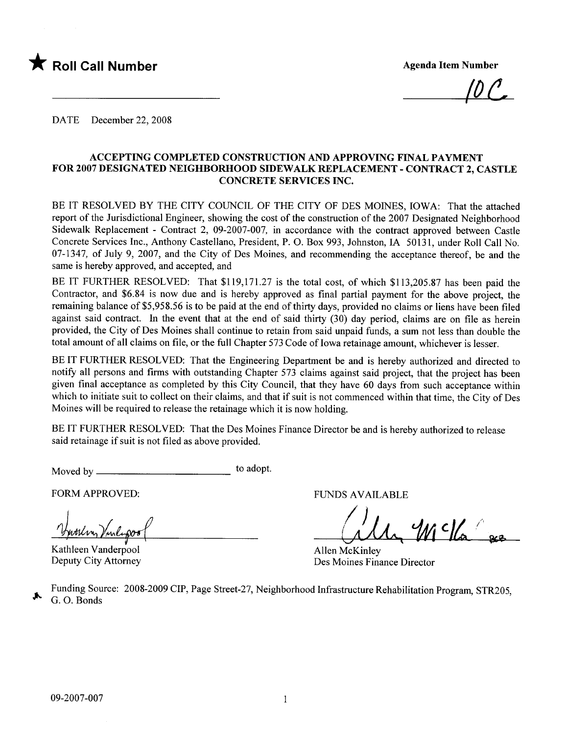

 $\mu$   $\mathcal{L}$ 

DATE December 22, 2008

#### ACCEPTING COMPLETED CONSTRUCTION AND APPROVING FINAL PAYMENT FOR 2007 DESIGNATED NEIGHBORHOOD SIDEWALK REPLACEMENT - CONTRACT 2, CASTLE CONCRETE SERVICES INC.

BE IT RESOLVED BY THE CITY COUNCIL OF THE CITY OF DES MOINES, IOWA: That the attached report of the Jurisdictional Engineer, showing the cost of the construction of the 2007 Designated Neighborhood Sidewalk Replacement - Contract 2, 09-2007-007, in accordance with the contract approved between Castle Concrete Services Inc., Anthony Castellano, President, P. O. Box 993, Johnston, IA 50131, under Roll Call No. 07-1347, of July 9, 2007, and the City of Des Moines, and recommending the acceptance thereof, be and the same is hereby approved, and accepted, and

BE IT FURTHER RESOLVED: That \$119,171.27 is the total cost, of which \$113,205.87 has been paid the Contractor, and \$6.84 is now due and is hereby approved as final partial payment for the above project, the remaining balance of \$5,958.56 is to be paid at the end of thirty days, provided no claims or liens have been filed against said contract. In the event that at the end of said thirty (30) day period, claims are on file as herein provided, the City of Des Moines shall continue to retain from said unpaid funds, a sum not less than double the total amount of all claims on file, or the full Chapter 573 Code of Iowa retainage amount, whichever is lesser.

BE IT FURTHER RESOLVED: That the Engineering Department be and is hereby authorized and directed to notify all persons and firms with outstanding Chapter 573 claims against said project, that the project has been given final acceptance as completed by this City Council, that they have 60 days from such acceptance within which to initiate suit to collect on their claims, and that if suit is not commenced within that time, the City of Des Moines will be required to release the retainage which it is now holding.

BE IT FURTHER RESOLVED: That the Des Moines Finance Director be and is hereby authorized to release said retainage if suit is not fied as above provided.

Moved by to adopt.

FORM APPROVED: THE RESERVED BY A PERSON ASSESSED.

Version Version<br>14 Junie – Junie 2006<br>Kathleen Vanderpool

Deputy City Attorney

ally Mcka &

Allen McKinley Des Moines Finance Director

Funding Source: 2008-2009 CIP, Page Street-27, Neighborhood Infrastructure Rehabilitation Program, STR205, ~ G. O. Bonds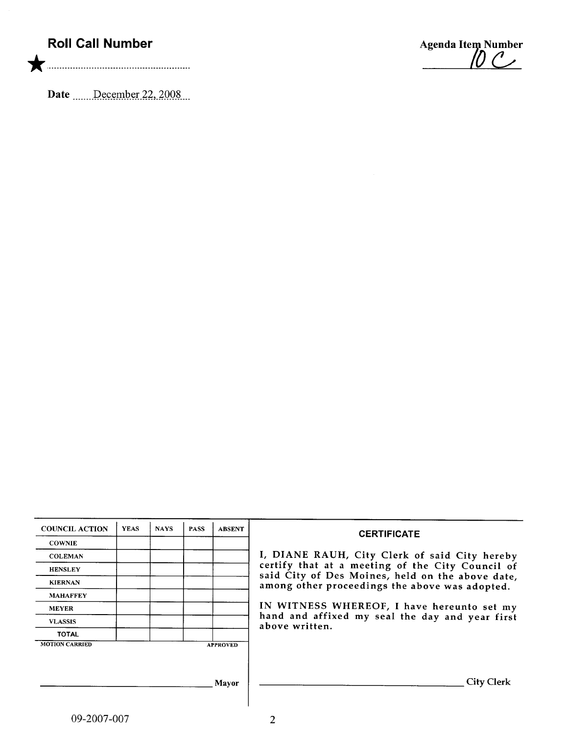## Roll Call Number

\* ....................... .......... ...... ...............

Date  $\frac{\text{December 22, 2008}}{\text{December 22.2008}}$ 

Agenda Item Number

| <b>COUNCIL ACTION</b> | <b>YEAS</b> | <b>NAYS</b> | <b>PASS</b> | <b>ABSENT</b>   |                                                                                                    |
|-----------------------|-------------|-------------|-------------|-----------------|----------------------------------------------------------------------------------------------------|
| <b>COWNIE</b>         |             |             |             |                 | <b>CERTIFICATE</b>                                                                                 |
| <b>COLEMAN</b>        |             |             |             |                 | I, DIANE RAUH, City Clerk of said City hereby                                                      |
| <b>HENSLEY</b>        |             |             |             |                 | certify that at a meeting of the City Council of                                                   |
| <b>KIERNAN</b>        |             |             |             |                 | said City of Des Moines, held on the above date,<br>among other proceedings the above was adopted. |
| <b>MAHAFFEY</b>       |             |             |             |                 |                                                                                                    |
| <b>MEYER</b>          |             |             |             |                 | IN WITNESS WHEREOF, I have hereunto set my                                                         |
| <b>VLASSIS</b>        |             |             |             |                 | hand and affixed my seal the day and year first<br>above written.                                  |
| <b>TOTAL</b>          |             |             |             |                 |                                                                                                    |
| <b>MOTION CARRIED</b> |             |             |             | <b>APPROVED</b> |                                                                                                    |
|                       |             |             |             |                 |                                                                                                    |
|                       |             |             |             |                 |                                                                                                    |
|                       |             |             |             | <b>Mayor</b>    | <b>City Clerk</b>                                                                                  |
|                       |             |             |             |                 |                                                                                                    |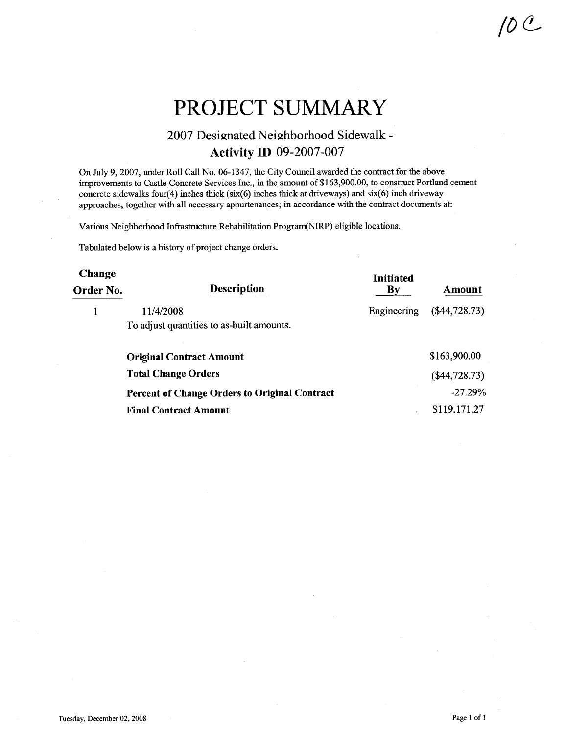# PROJECT SUMMARY

### 2007 Designated Neighborhood Sidewalk-Activity ID 09-2007-007

On July 9,2007, under Roll Call No. 06-1347, the City Council awarded the contract for the above improvements to Castle Concrete Services Inc., in the amount of \$163,900.00, to construct Portland cement concrete sidewalks four(4) inches thick (six(6) inches thick at driveways) and  $six(6)$  inch driveway approaches, together with all necessary appurtenances; in accordance with the contract documents at:

Various Neighborhood Infrastructure Rehabilitation Program(NIRP) eligible locations.

Tabulated below is a history of project change orders.

| <b>Change</b><br>Order No. | Description                                          | <b>Initiated</b><br>$\mathbf{B}\mathbf{v}$ | Amount          |
|----------------------------|------------------------------------------------------|--------------------------------------------|-----------------|
|                            | 11/4/2008                                            | Engineering                                | $(\$44,728.73)$ |
|                            | To adjust quantities to as-built amounts.            |                                            |                 |
|                            | <b>Original Contract Amount</b>                      |                                            | \$163,900.00    |
|                            | <b>Total Change Orders</b>                           |                                            | $(\$44,728.73)$ |
|                            | <b>Percent of Change Orders to Original Contract</b> |                                            | $-27.29%$       |
|                            | <b>Final Contract Amount</b>                         |                                            | \$119,171.27    |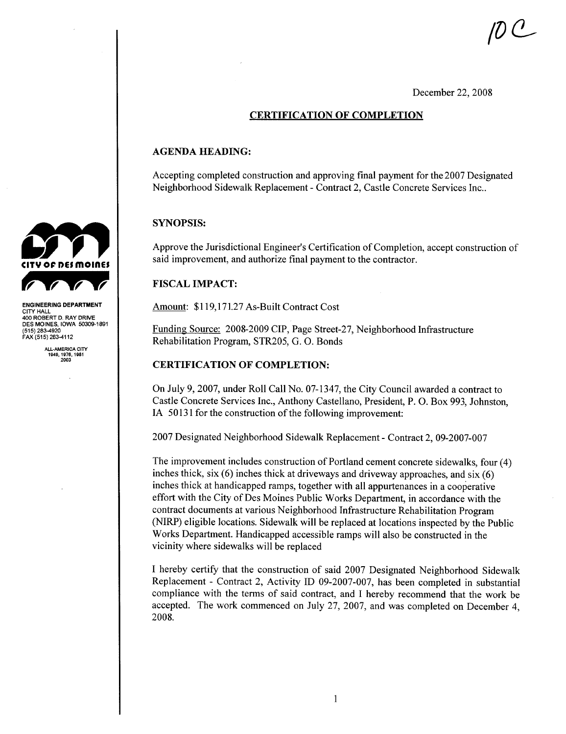$\mu$  C  $-$ 

December 22, 2008

#### CERTIFICATION OF COMPLETION

#### AGENDA HEADING:

Accepting completed construction and approving final payment for the 2007 Designated Neighborhood Sidewalk Replacement - Contract 2, Castle Concrete Services Inc..

#### SYNOPSIS:

Approve the Jurisdictional Engineer's Certification of Completion, accept construction of said improvement, and authorize final payment to the contractor.

#### **FISCAL IMPACT:**

Amount: \$119,171.27 As-Built Contract Cost

Funding Source: 2008-2009 CIP, Page Street-27, Neighborhood Infrastructure Rehabilitation Program, STR205, G. O. Bonds

#### CERTIFICATION OF COMPLETION:

On July 9, 2007, under Roll Call No. 07-1347, the City Council awarded a contract to Castle Concrete Services Inc., Anthony Castellano, President, P. O. Box 993, Johnston, IA 50131 for the construction of the following improvement:

2007 Designated Neighborhood Sidewalk Replacement - Contract 2, 09-2007-007

The improvement includes construction of Portland cement concrete sidewalks, four (4) inches thick, six (6) inches thick at driveways and driveway approaches, and six (6) inches thick at handicapped ramps, together with all appurtenances in a cooperative effort with the City of Des Moines Public Works Department, in accordance with the contract documents at various Neighborhood Infrastructure Rehabilitation Program (NIRP) eligible locations. Sidewalk wil be replaced at locations inspected by the Public Works Department. Handicapped accessible ramps will also be constructed in the vicinity where sidewalks will be replaced

I hereby certify that the construction of said 2007 Designated Neighborhood Sidewalk Replacement - Contract 2, Activity ID 09-2007-007, has been completed in substantial compliance with the terms of said contract, and I hereby recommend that the work be accepted. The work commenced on July 27, 2007, and was completed on December 4, 2008.



ENGINEERING DEPARTMENT CITY HALL 400 ROBERT D. RAY DRIVE<br>DES MOINES, IOWA 50309-1891 (515) 283-4920 FAX (515) 283-4112

> ALL.AMERICA CITY 1949,1976,1981 2003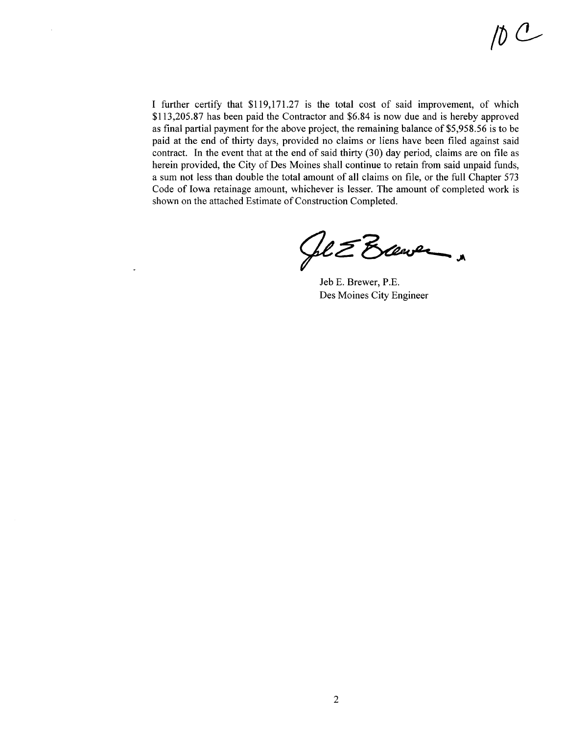I further certify that \$119,171.27 is the total cost of said improvement, of which \$113,205.87 has been paid the Contractor and \$6.84 is now due and is hereby approved as final partial payment for the above project, the remaining balance of \$5,958.56 is to be paid at the end of thirty days, provided no claims or liens have been filed against said contract. In the event that at the end of said thirty  $(30)$  day period, claims are on file as herein provided, the City of Des Moines shall continue to retain from said unpaid funds, a sum not less than double the total amount of all claims on fie, or the full Chapter 573 Code of Iowa retainage amount, whichever is lesser. The amount of completed work is shown on the attached Estimate of Construction Completed.

 $\bar{1}$ 

Sel E Exerce

Jeb E. Brewer, P.E. Des Moines City Engineer